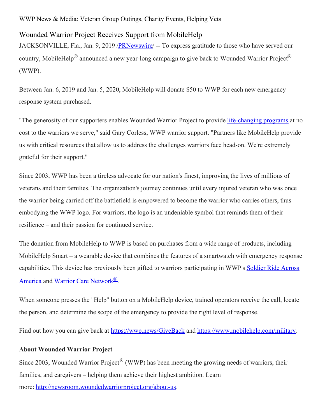WWP News & Media: Veteran Group Outings, Charity Events, Helping Vets

## Wounded Warrior Project Receives Support from MobileHelp

JACKSONVILLE, Fla., Jan. 9, 2019 /**PRNewswire** -- To express gratitude to those who have served our country, MobileHelp® announced a new year-long campaign to give back to Wounded Warrior Project® (WWP).

Between Jan. 6, 2019 and Jan. 5, 2020, MobileHelp will donate \$50 to WWP for each new emergency response system purchased.

"The generosity of our supporters enables Wounded Warrior Project to provide [life-changing](https://www.woundedwarriorproject.org/programs) programs at no cost to the warriors we serve," said Gary Corless, WWP warrior support. "Partners like MobileHelp provide us with critical resources that allow us to address the challenges warriors face head-on. We're extremely grateful for their support."

Since 2003, WWP has been a tireless advocate for our nation's finest, improving the lives of millions of veterans and their families. The organization's journey continues until every injured veteran who was once the warrior being carried off the battlefield is empowered to become the warrior who carries others, thus embodying the WWP logo. For warriors, the logo is an undeniable symbol that reminds them of their resilience – and their passion for continued service.

The donation from MobileHelp to WWP is based on purchases from a wide range of products, including MobileHelp Smart – a wearable device that combines the features of a smartwatch with emergency response capabilities. This device has previously been gifted to warriors [participating](https://www.woundedwarriorproject.org/programs/soldier-ride) in WWP's Soldier Ride Across America and Warrior Care [Network](https://www.woundedwarriorproject.org/programs/warrior-care-network)<sup>®</sup>.

When someone presses the "Help" button on a MobileHelp device, trained operators receive the call, locate the person, and determine the scope of the emergency to provide the right level of response.

Find out how you can give back at [https://wwp.news/GiveBack](https://c212.net/c/link/?t=0&l=en&o=2342876-1&h=2302364516&u=https%3A%2F%2Fwwp.news%2FGiveBack&a=https%3A%2F%2Fwwp.news%2FGiveBack) and [https://www.mobilehelp.com/military](https://c212.net/c/link/?t=0&l=en&o=2342876-1&h=2912542523&u=https%3A%2F%2Fwww.mobilehelp.com%2Fmilitary&a=https%3A%2F%2Fwww.mobilehelp.com%2Fmilitary).

## **About Wounded Warrior Project**

Since 2003, Wounded Warrior Project<sup>®</sup> (WWP) has been meeting the growing needs of warriors, their families, and caregivers – helping them achieve their highest ambition. Learn more: [http://newsroom.woundedwarriorproject.org/about-us](https://c212.net/c/link/?t=0&l=en&o=2342876-1&h=2242236465&u=http%3A%2F%2Fnewsroom.woundedwarriorproject.org%2Fabout-us&a=http%3A%2F%2Fnewsroom.woundedwarriorproject.org%2Fabout-us).